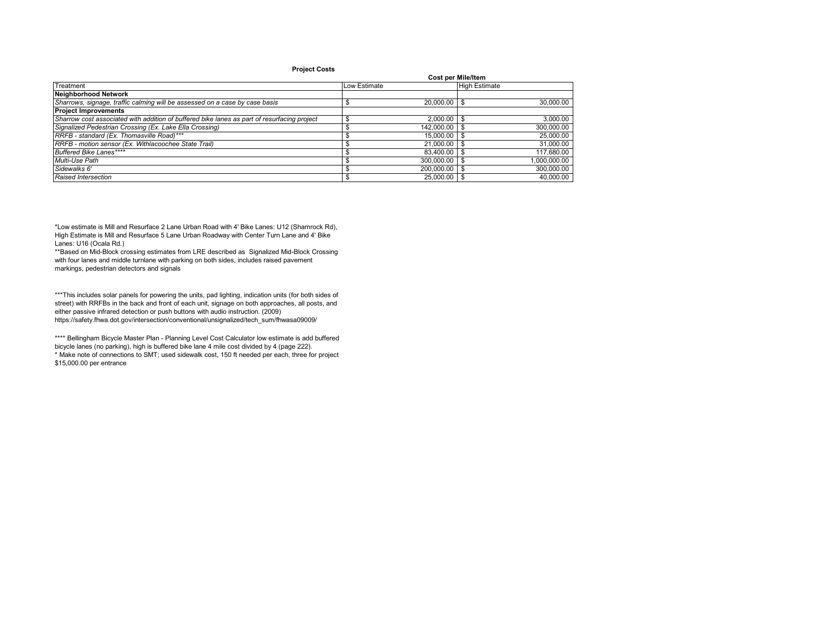## **Project Costs**

|                                                                                             |              | <b>Cost per Mile/Item</b> |                      |
|---------------------------------------------------------------------------------------------|--------------|---------------------------|----------------------|
| Treatment                                                                                   | Low Estimate |                           | <b>High Estimate</b> |
| <b>Neighborhood Network</b>                                                                 |              |                           |                      |
| Sharrows, signage, traffic calming will be assessed on a case by case basis                 |              | 20,000.00                 | 30.000.00            |
| <b>Project Improvements</b>                                                                 |              |                           |                      |
| Sharrow cost associated with addition of buffered bike lanes as part of resurfacing project |              | 2.000.00                  | 3,000.00             |
| Signalized Pedestrian Crossing (Ex. Lake Ella Crossing)                                     |              | 142,000.00                | 300.000.00           |
| RRFB - standard (Ex. Thomasville Road)***                                                   |              | 15,000.00                 | 25,000.00            |
| RRFB - motion sensor (Ex. Withlacoochee State Trail)                                        |              | 21,000.00                 | 31.000.00            |
| Buffered Bike Lanes****                                                                     |              | 83.400.00                 | 117,680.00           |
| Multi-Use Path                                                                              |              | 300.000.00                | 1.000.000.00         |
| Sidewalks 6'                                                                                |              | 200.000.00                | 300,000.00           |
| Raised Intersection                                                                         |              | 25,000.00                 | 40.000.00            |

\*Low estimate is Mill and Resurface 2 Lane Urban Road with 4' Bike Lanes: U12 (Shamrock Rd), High Estimate is Mill and Resurface 5 Lane Urban Roadway with Center Turn Lane and 4' Bike Lanes: U16 (Ocala Rd.)

\*\*Based on Mid-Block crossing estimates from LRE described as Signalized Mid-Block Crossing with four lanes and middle turnlane with parking on both sides, includes raised pavement markings, pedestrian detectors and signals

\*\*\*This includes solar panels for powering the units, pad lighting, indication units (for both sides of street) with RRFBs in the back and front of each unit, signage on both approaches, all posts, and either passive infrared detection or push buttons with audio instruction. (2009) https://safety.fhwa.dot.gov/intersection/conventional/unsignalized/tech\_sum/fhwasa09009/

\*\*\*\* Bellingham Bicycle Master Plan - Planning Level Cost Calculator low estimate is add buffered bicycle lanes (no parking), high is buffered bike lane 4 mile cost divided by 4 (page 222). \* Make note of connections to SMT; used sidewalk cost, 150 ft needed per each, three for project \$15,000.00 per entrance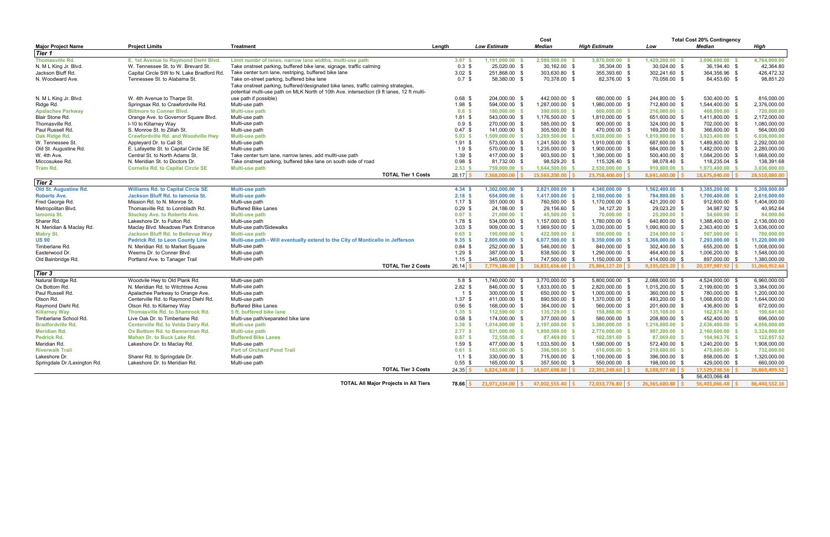| <b>Median</b><br><b>Major Project Name</b><br><b>Project Limits</b><br><b>Treatment</b><br>Lenath<br><b>Low Estimate</b><br><b>Median</b><br><b>High Estimate</b><br>Low<br>Tier 1<br><b>Thomasville Rd.</b><br>E. 1st Avenue to Raymond Diehl Blvd.<br>Limit numbr of lanes, narrow lane widths, multi-use path<br>3.97 <sup>5</sup><br>1,191,000.00<br>2,580,500.00<br>3,970,000.00<br>1,429,200.00<br>W. Tennessee St. to W. Brevard St.<br>25.020.00 \$<br>30.162.00 \$<br>35,304.00 \$<br>N. M L King Jr. Blvd.<br>Take onstreet parking, buffered bike lane, signage, traffic calming<br>$0.3 \text{ } $$<br>30,024.00 \$<br>Jackson Bluff Rd.<br>Capital Circle SW to N. Lake Bradford Rd.<br>$3.02$ \$<br>251,868.00 \$<br>303,630.80 \$<br>355,393.60 \$<br>302,241.60 \$<br>Take center turn lane, restriping, buffered bike lane<br>N. Woodward Ave.<br>Tennessee St. to Alabama St.<br>Take on-street parking, buffered bike lane<br>0.7 <sup>5</sup><br>58,380.00 \$<br>70,378.00 \$<br>82,376.00 \$<br>70,056.00 \$<br>Take onstreet parking, buffered/designated bike lanes, traffic calming strategies,<br>potential multi-use path on MLK North of 10th Ave. intersection (9 ft lanes, 12 ft multi-<br>$0.68$ \$<br>204.000.00 \$<br>442.000.00 \$<br>680.000.00 \$<br>244,800.00 \$<br>N. M L King Jr. Blvd.<br>W. 4th Avenue to Tharpe St.<br>use path if possible)<br>$1.98$ \$<br>Springsax Rd. to Crawfordville Rd.<br>Multi-use path<br>594,000.00 \$<br>1,287,000.00 \$<br>1,980,000.00 \$<br>712,800.00 \$<br>Ridge Rd.<br><b>Apalachee Parkway</b><br><b>Biltmore to Conner Blvd.</b><br>Multi-use path<br>0.6 <sup>5</sup><br>180,000.00<br>390,000.00 \$<br>600,000.00<br>216,000.00 \$<br>- \$<br>- \$<br>Blair Stone Rd.<br>Orange Ave. to Governor Square Blvd.<br>Multi-use path<br>$1.81$ \$<br>543,000.00 \$<br>1,176,500.00 \$<br>1,810,000.00 \$<br>651,600.00 \$ | High<br>3,096,600.00 \$<br>4,764,000.00<br>36,194.40 \$<br>42,364.80<br>364,356.96 \$<br>426,472.32<br>98,851.20<br>84,453.60 \$<br>530.400.00 \$<br>816,000.00<br>1,544,400.00 \$<br>2,376,000.00<br>720,000.00<br>468,000.00 \$<br>1,411,800.00 \$<br>2,172,000.00<br>1,080,000.00<br>702.000.00 \$<br>366,600.00 \$<br>564,000.00<br>3,923,400.00 \$<br>6,036,000.00<br>2,292,000.00<br>1,489,800.00 \$<br>1,482,000.00 \$<br>2,280,000.00 |
|-------------------------------------------------------------------------------------------------------------------------------------------------------------------------------------------------------------------------------------------------------------------------------------------------------------------------------------------------------------------------------------------------------------------------------------------------------------------------------------------------------------------------------------------------------------------------------------------------------------------------------------------------------------------------------------------------------------------------------------------------------------------------------------------------------------------------------------------------------------------------------------------------------------------------------------------------------------------------------------------------------------------------------------------------------------------------------------------------------------------------------------------------------------------------------------------------------------------------------------------------------------------------------------------------------------------------------------------------------------------------------------------------------------------------------------------------------------------------------------------------------------------------------------------------------------------------------------------------------------------------------------------------------------------------------------------------------------------------------------------------------------------------------------------------------------------------------------------------------------------------------------------------------|-----------------------------------------------------------------------------------------------------------------------------------------------------------------------------------------------------------------------------------------------------------------------------------------------------------------------------------------------------------------------------------------------------------------------------------------------|
|                                                                                                                                                                                                                                                                                                                                                                                                                                                                                                                                                                                                                                                                                                                                                                                                                                                                                                                                                                                                                                                                                                                                                                                                                                                                                                                                                                                                                                                                                                                                                                                                                                                                                                                                                                                                                                                                                                       |                                                                                                                                                                                                                                                                                                                                                                                                                                               |
|                                                                                                                                                                                                                                                                                                                                                                                                                                                                                                                                                                                                                                                                                                                                                                                                                                                                                                                                                                                                                                                                                                                                                                                                                                                                                                                                                                                                                                                                                                                                                                                                                                                                                                                                                                                                                                                                                                       |                                                                                                                                                                                                                                                                                                                                                                                                                                               |
|                                                                                                                                                                                                                                                                                                                                                                                                                                                                                                                                                                                                                                                                                                                                                                                                                                                                                                                                                                                                                                                                                                                                                                                                                                                                                                                                                                                                                                                                                                                                                                                                                                                                                                                                                                                                                                                                                                       |                                                                                                                                                                                                                                                                                                                                                                                                                                               |
|                                                                                                                                                                                                                                                                                                                                                                                                                                                                                                                                                                                                                                                                                                                                                                                                                                                                                                                                                                                                                                                                                                                                                                                                                                                                                                                                                                                                                                                                                                                                                                                                                                                                                                                                                                                                                                                                                                       |                                                                                                                                                                                                                                                                                                                                                                                                                                               |
|                                                                                                                                                                                                                                                                                                                                                                                                                                                                                                                                                                                                                                                                                                                                                                                                                                                                                                                                                                                                                                                                                                                                                                                                                                                                                                                                                                                                                                                                                                                                                                                                                                                                                                                                                                                                                                                                                                       |                                                                                                                                                                                                                                                                                                                                                                                                                                               |
|                                                                                                                                                                                                                                                                                                                                                                                                                                                                                                                                                                                                                                                                                                                                                                                                                                                                                                                                                                                                                                                                                                                                                                                                                                                                                                                                                                                                                                                                                                                                                                                                                                                                                                                                                                                                                                                                                                       |                                                                                                                                                                                                                                                                                                                                                                                                                                               |
|                                                                                                                                                                                                                                                                                                                                                                                                                                                                                                                                                                                                                                                                                                                                                                                                                                                                                                                                                                                                                                                                                                                                                                                                                                                                                                                                                                                                                                                                                                                                                                                                                                                                                                                                                                                                                                                                                                       |                                                                                                                                                                                                                                                                                                                                                                                                                                               |
|                                                                                                                                                                                                                                                                                                                                                                                                                                                                                                                                                                                                                                                                                                                                                                                                                                                                                                                                                                                                                                                                                                                                                                                                                                                                                                                                                                                                                                                                                                                                                                                                                                                                                                                                                                                                                                                                                                       |                                                                                                                                                                                                                                                                                                                                                                                                                                               |
|                                                                                                                                                                                                                                                                                                                                                                                                                                                                                                                                                                                                                                                                                                                                                                                                                                                                                                                                                                                                                                                                                                                                                                                                                                                                                                                                                                                                                                                                                                                                                                                                                                                                                                                                                                                                                                                                                                       |                                                                                                                                                                                                                                                                                                                                                                                                                                               |
|                                                                                                                                                                                                                                                                                                                                                                                                                                                                                                                                                                                                                                                                                                                                                                                                                                                                                                                                                                                                                                                                                                                                                                                                                                                                                                                                                                                                                                                                                                                                                                                                                                                                                                                                                                                                                                                                                                       |                                                                                                                                                                                                                                                                                                                                                                                                                                               |
|                                                                                                                                                                                                                                                                                                                                                                                                                                                                                                                                                                                                                                                                                                                                                                                                                                                                                                                                                                                                                                                                                                                                                                                                                                                                                                                                                                                                                                                                                                                                                                                                                                                                                                                                                                                                                                                                                                       |                                                                                                                                                                                                                                                                                                                                                                                                                                               |
|                                                                                                                                                                                                                                                                                                                                                                                                                                                                                                                                                                                                                                                                                                                                                                                                                                                                                                                                                                                                                                                                                                                                                                                                                                                                                                                                                                                                                                                                                                                                                                                                                                                                                                                                                                                                                                                                                                       |                                                                                                                                                                                                                                                                                                                                                                                                                                               |
| $0.9$ \$<br>Thomasville Rd.<br>I-10 to Killarney Way<br>Multi-use path<br>270.000.00 \$<br>585,000.00 \$<br>900,000.00 \$<br>324,000.00 \$                                                                                                                                                                                                                                                                                                                                                                                                                                                                                                                                                                                                                                                                                                                                                                                                                                                                                                                                                                                                                                                                                                                                                                                                                                                                                                                                                                                                                                                                                                                                                                                                                                                                                                                                                            |                                                                                                                                                                                                                                                                                                                                                                                                                                               |
| Paul Russell Rd.<br>S. Monroe St. to Zillah St.<br>Multi-use path<br>$0.47$ \$<br>141,000.00 \$<br>305,500.00 \$<br>470,000.00 \$<br>169,200.00 \$                                                                                                                                                                                                                                                                                                                                                                                                                                                                                                                                                                                                                                                                                                                                                                                                                                                                                                                                                                                                                                                                                                                                                                                                                                                                                                                                                                                                                                                                                                                                                                                                                                                                                                                                                    |                                                                                                                                                                                                                                                                                                                                                                                                                                               |
| 5.03S<br>1,509,000.00<br>3,269,500.00<br>Oak Ridge Rd.<br><b>Crawfordville Rd. and Woodville Hwy</b><br>Multi-use path<br>5,030,000.00<br>1,810,800.00<br>- \$<br>- \$                                                                                                                                                                                                                                                                                                                                                                                                                                                                                                                                                                                                                                                                                                                                                                                                                                                                                                                                                                                                                                                                                                                                                                                                                                                                                                                                                                                                                                                                                                                                                                                                                                                                                                                                |                                                                                                                                                                                                                                                                                                                                                                                                                                               |
| $1.91$ \$<br>573,000.00 \$<br>687,600.00 \$<br>W. Tennessee St<br>Appleyard Dr. to Call St.<br>Multi-use path<br>1,241,500.00 \$<br>1,910,000.00 \$                                                                                                                                                                                                                                                                                                                                                                                                                                                                                                                                                                                                                                                                                                                                                                                                                                                                                                                                                                                                                                                                                                                                                                                                                                                                                                                                                                                                                                                                                                                                                                                                                                                                                                                                                   |                                                                                                                                                                                                                                                                                                                                                                                                                                               |
| Old St. Augustine Rd.<br>E. Lafayette St. to Capital Circle SE<br>Multi-use path<br>1.9 <sup>5</sup><br>570,000.00 \$<br>1,235,000.00 \$<br>1,900,000.00 \$<br>684,000.00 \$                                                                                                                                                                                                                                                                                                                                                                                                                                                                                                                                                                                                                                                                                                                                                                                                                                                                                                                                                                                                                                                                                                                                                                                                                                                                                                                                                                                                                                                                                                                                                                                                                                                                                                                          |                                                                                                                                                                                                                                                                                                                                                                                                                                               |
| Central St. to North Adams St.<br>$1.39$ \$<br>417,000.00 \$<br>903,500.00 \$<br>1,390,000.00 \$<br>500,400.00 \$<br>W. 4th Ave.<br>Take center turn lane, narrow lanes, add mullti-use path                                                                                                                                                                                                                                                                                                                                                                                                                                                                                                                                                                                                                                                                                                                                                                                                                                                                                                                                                                                                                                                                                                                                                                                                                                                                                                                                                                                                                                                                                                                                                                                                                                                                                                          | 1,084,200.00 \$<br>1,668,000.00                                                                                                                                                                                                                                                                                                                                                                                                               |
| Miccosukee Rd.<br>N. Meridian St. to Doctors Dr.<br>Take onstreet parking, buffered bike lane on south side of road<br>$0.98$ \$<br>81,732.00 \$<br>98,529.20 \$<br>115,326.40 \$<br>98,078.40 \$                                                                                                                                                                                                                                                                                                                                                                                                                                                                                                                                                                                                                                                                                                                                                                                                                                                                                                                                                                                                                                                                                                                                                                                                                                                                                                                                                                                                                                                                                                                                                                                                                                                                                                     | 138,391.68<br>118,235.04 \$                                                                                                                                                                                                                                                                                                                                                                                                                   |
| 2.53S<br><b>Tram Rd.</b><br><b>Cornelia Rd. to Capital Circle SE</b><br>Multi-use path<br>759,000.00 \$<br>1,644,500.00<br>2,530,000.00<br>910,800.00 \$                                                                                                                                                                                                                                                                                                                                                                                                                                                                                                                                                                                                                                                                                                                                                                                                                                                                                                                                                                                                                                                                                                                                                                                                                                                                                                                                                                                                                                                                                                                                                                                                                                                                                                                                              | 3,036,000.00<br>1,973,400.00 \$                                                                                                                                                                                                                                                                                                                                                                                                               |
| <b>TOTAL Tier 1 Costs</b><br>$7.368,000.00$ \$<br>$15.563.200.00$ \$<br>$23.758.400.00$ \$<br>$8.841.600.00$ \$<br>$28.17$ $\overline{\phantom{1}}$                                                                                                                                                                                                                                                                                                                                                                                                                                                                                                                                                                                                                                                                                                                                                                                                                                                                                                                                                                                                                                                                                                                                                                                                                                                                                                                                                                                                                                                                                                                                                                                                                                                                                                                                                   | 18.675.840.00 \$<br>28.510.080.00                                                                                                                                                                                                                                                                                                                                                                                                             |
| <b>Tier 2</b>                                                                                                                                                                                                                                                                                                                                                                                                                                                                                                                                                                                                                                                                                                                                                                                                                                                                                                                                                                                                                                                                                                                                                                                                                                                                                                                                                                                                                                                                                                                                                                                                                                                                                                                                                                                                                                                                                         |                                                                                                                                                                                                                                                                                                                                                                                                                                               |
|                                                                                                                                                                                                                                                                                                                                                                                                                                                                                                                                                                                                                                                                                                                                                                                                                                                                                                                                                                                                                                                                                                                                                                                                                                                                                                                                                                                                                                                                                                                                                                                                                                                                                                                                                                                                                                                                                                       |                                                                                                                                                                                                                                                                                                                                                                                                                                               |
| Old St. Augustine Rd.<br><b>Williams Rd. to Capital Circle SE</b><br>Multi-use path<br>4.34 S<br>1,302,000.00<br>2,821,000.00<br>4,340,000.00<br>1,562,400.00                                                                                                                                                                                                                                                                                                                                                                                                                                                                                                                                                                                                                                                                                                                                                                                                                                                                                                                                                                                                                                                                                                                                                                                                                                                                                                                                                                                                                                                                                                                                                                                                                                                                                                                                         | 5,208,000.00<br>3,385,200.00 \$                                                                                                                                                                                                                                                                                                                                                                                                               |
| 654,000.00<br><b>Roberts Ave.</b><br>Jackson Bluff Rd. to lamonia St.<br>Multi-use path<br>$2.18$ \$<br>$1,417,000.00$ \$<br>2,180,000.00<br>784,800.00 \$<br>- \$<br>-\$                                                                                                                                                                                                                                                                                                                                                                                                                                                                                                                                                                                                                                                                                                                                                                                                                                                                                                                                                                                                                                                                                                                                                                                                                                                                                                                                                                                                                                                                                                                                                                                                                                                                                                                             | 2,616,000.00<br>1,700,400.00 \$                                                                                                                                                                                                                                                                                                                                                                                                               |
| Mission Rd. to N. Monroe St.<br>$1.17$ \$<br>351,000.00 \$<br>760,500.00 \$<br>1,170,000.00 \$<br>421,200.00 \$<br>Fred George Rd.<br>Multi-use path                                                                                                                                                                                                                                                                                                                                                                                                                                                                                                                                                                                                                                                                                                                                                                                                                                                                                                                                                                                                                                                                                                                                                                                                                                                                                                                                                                                                                                                                                                                                                                                                                                                                                                                                                  | 912,600.00 \$<br>1,404,000.00                                                                                                                                                                                                                                                                                                                                                                                                                 |
| $0.29$ \$<br>Metropolitan Blvd.<br>Thomasville Rd. to Lonnbladh Rd.<br><b>Buffered Bike Lanes</b><br>24,186.00 \$<br>29.156.60 \$<br>34,127.20 \$<br>29,023.20 \$                                                                                                                                                                                                                                                                                                                                                                                                                                                                                                                                                                                                                                                                                                                                                                                                                                                                                                                                                                                                                                                                                                                                                                                                                                                                                                                                                                                                                                                                                                                                                                                                                                                                                                                                     | 40,952.64<br>34,987.92 \$                                                                                                                                                                                                                                                                                                                                                                                                                     |
| 45,500,00 \$<br>25,200.00 \$<br>lamonia St.<br><b>Stuckey Ave. to Roberts Ave.</b><br>Multi-use path<br>0.07 S<br>21,000,00 \$<br>70,000,00<br>$\mathbf{\hat{S}}$                                                                                                                                                                                                                                                                                                                                                                                                                                                                                                                                                                                                                                                                                                                                                                                                                                                                                                                                                                                                                                                                                                                                                                                                                                                                                                                                                                                                                                                                                                                                                                                                                                                                                                                                     | 54.600.00 \$<br>84,000.00                                                                                                                                                                                                                                                                                                                                                                                                                     |
| Sharer Rd.<br>Lakeshore Dr. to Fulton Rd.<br>$1.78$ \$<br>534,000.00 \$<br>1,157,000.00 \$<br>1,780,000.00 \$<br>640,800.00 \$<br>Multi-use path                                                                                                                                                                                                                                                                                                                                                                                                                                                                                                                                                                                                                                                                                                                                                                                                                                                                                                                                                                                                                                                                                                                                                                                                                                                                                                                                                                                                                                                                                                                                                                                                                                                                                                                                                      | 2,136,000.00<br>1,388,400.00 \$                                                                                                                                                                                                                                                                                                                                                                                                               |
| Multi-use path/Sidewalks<br>$3.03$ \$<br>909,000.00 \$<br>1,090,800.00 \$<br>N. Meridian & Maclay Rd.<br>Maclay Blvd. Meadows Park Entrance<br>1,969,500.00 \$<br>3,030,000.00 \$                                                                                                                                                                                                                                                                                                                                                                                                                                                                                                                                                                                                                                                                                                                                                                                                                                                                                                                                                                                                                                                                                                                                                                                                                                                                                                                                                                                                                                                                                                                                                                                                                                                                                                                     | 3,636,000.00<br>2,363,400.00 \$                                                                                                                                                                                                                                                                                                                                                                                                               |
| <b>Jackson Bluff Rd. to Bellevue Way</b><br>Multi-use path<br>$0.65$ \$<br>195,000.00<br>422,500.00 \$<br>650,000.00<br>234,000.00<br><b>Mabry St.</b>                                                                                                                                                                                                                                                                                                                                                                                                                                                                                                                                                                                                                                                                                                                                                                                                                                                                                                                                                                                                                                                                                                                                                                                                                                                                                                                                                                                                                                                                                                                                                                                                                                                                                                                                                | 507,000.00 \$<br>780,000.00                                                                                                                                                                                                                                                                                                                                                                                                                   |
| <b>US 90</b><br>9.35 S<br>2,805,000.00 \$<br>6,077,500.00 \$<br>9,350,000.00<br>3,366,000.00 \$<br><b>Pedrick Rd. to Leon County Line</b><br>Multi-use path - Will eventually extend to the City of Monticello in Jefferson                                                                                                                                                                                                                                                                                                                                                                                                                                                                                                                                                                                                                                                                                                                                                                                                                                                                                                                                                                                                                                                                                                                                                                                                                                                                                                                                                                                                                                                                                                                                                                                                                                                                           | 7,293,000.00 \$<br>11,220,000.00                                                                                                                                                                                                                                                                                                                                                                                                              |
| Timberlane Rd.<br>N. Meridian Rd. to Market Square<br>Multi-use path<br>$0.84$ \$<br>252,000.00 \$<br>546,000.00 \$<br>840,000.00 \$<br>302,400.00 \$                                                                                                                                                                                                                                                                                                                                                                                                                                                                                                                                                                                                                                                                                                                                                                                                                                                                                                                                                                                                                                                                                                                                                                                                                                                                                                                                                                                                                                                                                                                                                                                                                                                                                                                                                 | 1,008,000.00<br>655,200.00 \$                                                                                                                                                                                                                                                                                                                                                                                                                 |
| Multi-use path<br>$1.29$ \$<br>387.000.00 \$<br>464,400.00 \$<br>Easterwood Dr.<br>Weems Dr. to Conner Blvd.<br>838,500.00 \$<br>1,290,000.00 \$                                                                                                                                                                                                                                                                                                                                                                                                                                                                                                                                                                                                                                                                                                                                                                                                                                                                                                                                                                                                                                                                                                                                                                                                                                                                                                                                                                                                                                                                                                                                                                                                                                                                                                                                                      | 1,006,200.00 \$<br>1,548,000.00                                                                                                                                                                                                                                                                                                                                                                                                               |
| Old Bainbridge Rd.<br>Multi-use path<br>$1.15$ \$<br>345,000.00 \$<br>1,150,000.00 \$<br>414,000.00 \$<br>Portland Ave. to Tanager Trail<br>747,500.00 \$                                                                                                                                                                                                                                                                                                                                                                                                                                                                                                                                                                                                                                                                                                                                                                                                                                                                                                                                                                                                                                                                                                                                                                                                                                                                                                                                                                                                                                                                                                                                                                                                                                                                                                                                             | 897,000.00 \$<br>1,380,000.00                                                                                                                                                                                                                                                                                                                                                                                                                 |
| <b>TOTAL Tier 2 Costs</b><br>$26.14$ \$<br>$7,779,186.00$ \$<br>16.831.656.60 S<br>25,884,127.20 \$<br>$9,335,023.20$ \$                                                                                                                                                                                                                                                                                                                                                                                                                                                                                                                                                                                                                                                                                                                                                                                                                                                                                                                                                                                                                                                                                                                                                                                                                                                                                                                                                                                                                                                                                                                                                                                                                                                                                                                                                                              | $20,197,987.92$ \$<br>31,060,952.64                                                                                                                                                                                                                                                                                                                                                                                                           |
| Tier <sub>3</sub>                                                                                                                                                                                                                                                                                                                                                                                                                                                                                                                                                                                                                                                                                                                                                                                                                                                                                                                                                                                                                                                                                                                                                                                                                                                                                                                                                                                                                                                                                                                                                                                                                                                                                                                                                                                                                                                                                     |                                                                                                                                                                                                                                                                                                                                                                                                                                               |
| Natural Bridge Rd.<br>Multi-use path<br>5.8 <sup>°</sup><br>1,740,000.00 \$<br>2,088,000.00 \$<br>Woodvile Hwy to Old Plank Rd.<br>3,770,000.00 \$<br>5,800,000.00 \$                                                                                                                                                                                                                                                                                                                                                                                                                                                                                                                                                                                                                                                                                                                                                                                                                                                                                                                                                                                                                                                                                                                                                                                                                                                                                                                                                                                                                                                                                                                                                                                                                                                                                                                                 | 4,524,000.00 \$<br>6,960,000.00                                                                                                                                                                                                                                                                                                                                                                                                               |
| Multi-use path<br>Ox Bottom Rd.<br>N. Meridian Rd. to Witchtree Acres<br>$2.82$ \$<br>846.000.00 \$<br>1.833.000.00 \$<br>2.820.000.00 \$<br>1,015,200.00 \$                                                                                                                                                                                                                                                                                                                                                                                                                                                                                                                                                                                                                                                                                                                                                                                                                                                                                                                                                                                                                                                                                                                                                                                                                                                                                                                                                                                                                                                                                                                                                                                                                                                                                                                                          | 2.199.600.00 \$<br>3.384.000.00                                                                                                                                                                                                                                                                                                                                                                                                               |
| Paul Russell Rd.<br>Multi-use path<br>300,000.00 \$<br>650,000.00 \$<br>360,000.00 \$<br>Apalachee Parkway to Orange Ave.<br>1\$<br>1,000,000.00 \$                                                                                                                                                                                                                                                                                                                                                                                                                                                                                                                                                                                                                                                                                                                                                                                                                                                                                                                                                                                                                                                                                                                                                                                                                                                                                                                                                                                                                                                                                                                                                                                                                                                                                                                                                   | 780,000.00 \$<br>1,200,000.00                                                                                                                                                                                                                                                                                                                                                                                                                 |
| $1.37$ \$<br>493,200.00 \$<br>Olson Rd.<br>Centerville Rd. to Raymond Diehl Rd.<br>Multi-use path<br>411,000.00 \$<br>890,500.00 \$<br>1,370,000.00 \$                                                                                                                                                                                                                                                                                                                                                                                                                                                                                                                                                                                                                                                                                                                                                                                                                                                                                                                                                                                                                                                                                                                                                                                                                                                                                                                                                                                                                                                                                                                                                                                                                                                                                                                                                | 1,644,000.00<br>1,068,600.00 \$                                                                                                                                                                                                                                                                                                                                                                                                               |
| Olson Rd. to Killarney Way<br><b>Buffered Bike Lanes</b><br>$0.56$ \$<br>168,000.00 \$<br>364,000.00 \$<br>560,000.00 \$<br>201,600.00 \$<br>Raymond Diehl Rd.                                                                                                                                                                                                                                                                                                                                                                                                                                                                                                                                                                                                                                                                                                                                                                                                                                                                                                                                                                                                                                                                                                                                                                                                                                                                                                                                                                                                                                                                                                                                                                                                                                                                                                                                        | 436,800.00 \$<br>672,000.00                                                                                                                                                                                                                                                                                                                                                                                                                   |
| Thomasville Rd. to Shamrock Rd.<br>5 ft. buffered bike lane<br>1.35S<br>112,590.00<br>135,108.00<br><b>Killarney Way</b><br>135,729.00 \$<br>158,868.00                                                                                                                                                                                                                                                                                                                                                                                                                                                                                                                                                                                                                                                                                                                                                                                                                                                                                                                                                                                                                                                                                                                                                                                                                                                                                                                                                                                                                                                                                                                                                                                                                                                                                                                                               | 190,641.60<br>162,874.80 \$                                                                                                                                                                                                                                                                                                                                                                                                                   |
| Multi-use path/separated bike lane<br>$0.58$ \$<br>174,000.00 \$<br>377,000.00 \$<br>580,000.00 \$<br>208,800.00 \$<br>Timberlane School Rd.<br>Live Oak Dr. to Timberlane Rd.                                                                                                                                                                                                                                                                                                                                                                                                                                                                                                                                                                                                                                                                                                                                                                                                                                                                                                                                                                                                                                                                                                                                                                                                                                                                                                                                                                                                                                                                                                                                                                                                                                                                                                                        | 452,400.00 \$<br>696,000.00                                                                                                                                                                                                                                                                                                                                                                                                                   |
| <b>Bradfordville Rd.</b><br>Multi-use path<br>3.38 S<br>1,014,000.00<br>2,197,000.00<br>3,380,000.00<br>1,216,800.00<br><b>Centerville Rd. to Velda Dairy Rd.</b><br>- \$                                                                                                                                                                                                                                                                                                                                                                                                                                                                                                                                                                                                                                                                                                                                                                                                                                                                                                                                                                                                                                                                                                                                                                                                                                                                                                                                                                                                                                                                                                                                                                                                                                                                                                                             | 4,056,000.00<br>2,636,400.00 \$                                                                                                                                                                                                                                                                                                                                                                                                               |
| 2.77S<br><b>Meridian Rd.</b><br>Ox Bottom Rd. to Bannerman Rd.<br>Multi-use path<br>831,000.00 \$<br>1,800,500.00 \$<br>2,770,000.00<br>997,200.00 \$                                                                                                                                                                                                                                                                                                                                                                                                                                                                                                                                                                                                                                                                                                                                                                                                                                                                                                                                                                                                                                                                                                                                                                                                                                                                                                                                                                                                                                                                                                                                                                                                                                                                                                                                                 | 3,324,000.00<br>2,160,600.00 \$                                                                                                                                                                                                                                                                                                                                                                                                               |
| Pedrick Rd.<br><b>Buffered Bike Lanes</b><br>0.87S<br>72,558.00 \$<br>87,469.80 \$<br>102,381.60 \$<br>87,069.60 \$<br>Mahan Dr. to Buck Lake Rd.                                                                                                                                                                                                                                                                                                                                                                                                                                                                                                                                                                                                                                                                                                                                                                                                                                                                                                                                                                                                                                                                                                                                                                                                                                                                                                                                                                                                                                                                                                                                                                                                                                                                                                                                                     | 122,857.92<br>104,963.76 \$                                                                                                                                                                                                                                                                                                                                                                                                                   |
| $1.59$ \$<br>477,000.00 \$<br>1,033,500.00 \$<br>572,400.00 \$<br>Meridian Rd.<br>Lakeshore Dr. to Maclay Rd.<br>Multi-use path<br>1,590,000.00 \$                                                                                                                                                                                                                                                                                                                                                                                                                                                                                                                                                                                                                                                                                                                                                                                                                                                                                                                                                                                                                                                                                                                                                                                                                                                                                                                                                                                                                                                                                                                                                                                                                                                                                                                                                    | 1,240,200.00 \$<br>1,908,000.00                                                                                                                                                                                                                                                                                                                                                                                                               |
| <b>Riverwalk Trail</b><br><b>Part of Orchard Pond Trail</b><br>0.61 S<br>183,000.00 \$<br>396,500.00 \$<br>610,000.00 \$<br>219,600.00 \$                                                                                                                                                                                                                                                                                                                                                                                                                                                                                                                                                                                                                                                                                                                                                                                                                                                                                                                                                                                                                                                                                                                                                                                                                                                                                                                                                                                                                                                                                                                                                                                                                                                                                                                                                             | 732,000.00<br>475,800.00 \$                                                                                                                                                                                                                                                                                                                                                                                                                   |
| Lakeshore Dr.<br>Sharer Rd. to Springdale Dr.<br>Multi-use path<br>$1.1 \text{ }$ \$<br>330,000.00 \$<br>715,000.00 \$<br>1,100,000.00 \$<br>396,000.00 \$                                                                                                                                                                                                                                                                                                                                                                                                                                                                                                                                                                                                                                                                                                                                                                                                                                                                                                                                                                                                                                                                                                                                                                                                                                                                                                                                                                                                                                                                                                                                                                                                                                                                                                                                            | 858,000.00 \$<br>1,320,000.00                                                                                                                                                                                                                                                                                                                                                                                                                 |
| $0.55$ \$<br>Lakeshore Dr. to Meridian Rd.<br>165,000.00 \$<br>357,500.00 \$<br>550,000.00 \$<br>198,000.00 \$<br>Springdale Dr./Lexington Rd.<br>Multi-use path                                                                                                                                                                                                                                                                                                                                                                                                                                                                                                                                                                                                                                                                                                                                                                                                                                                                                                                                                                                                                                                                                                                                                                                                                                                                                                                                                                                                                                                                                                                                                                                                                                                                                                                                      | 660.000.00<br>429,000.00 \$                                                                                                                                                                                                                                                                                                                                                                                                                   |
| <b>TOTAL Tier 3 Costs</b><br>$24.35$ \$<br>$6.824.148.00$   \$<br>$14.607.698.80$   \$<br>$22,391,249.60$ \$<br>$8,188,977.60$ \$                                                                                                                                                                                                                                                                                                                                                                                                                                                                                                                                                                                                                                                                                                                                                                                                                                                                                                                                                                                                                                                                                                                                                                                                                                                                                                                                                                                                                                                                                                                                                                                                                                                                                                                                                                     | 17,529,238.56 \$<br>26,869,499.52                                                                                                                                                                                                                                                                                                                                                                                                             |
|                                                                                                                                                                                                                                                                                                                                                                                                                                                                                                                                                                                                                                                                                                                                                                                                                                                                                                                                                                                                                                                                                                                                                                                                                                                                                                                                                                                                                                                                                                                                                                                                                                                                                                                                                                                                                                                                                                       |                                                                                                                                                                                                                                                                                                                                                                                                                                               |
| 56,403,066.48<br>- \$                                                                                                                                                                                                                                                                                                                                                                                                                                                                                                                                                                                                                                                                                                                                                                                                                                                                                                                                                                                                                                                                                                                                                                                                                                                                                                                                                                                                                                                                                                                                                                                                                                                                                                                                                                                                                                                                                 |                                                                                                                                                                                                                                                                                                                                                                                                                                               |
| <b>TOTAL All Major Projects in All Tiers</b><br>$78.66$ \$<br>$21,971,334.00$ \$<br>$47,002,555.40$ \$<br>$26,365,600.80$ \$<br>72,033,776.80 \$                                                                                                                                                                                                                                                                                                                                                                                                                                                                                                                                                                                                                                                                                                                                                                                                                                                                                                                                                                                                                                                                                                                                                                                                                                                                                                                                                                                                                                                                                                                                                                                                                                                                                                                                                      | $56,403,066.48$ \$<br>86,440,532.16                                                                                                                                                                                                                                                                                                                                                                                                           |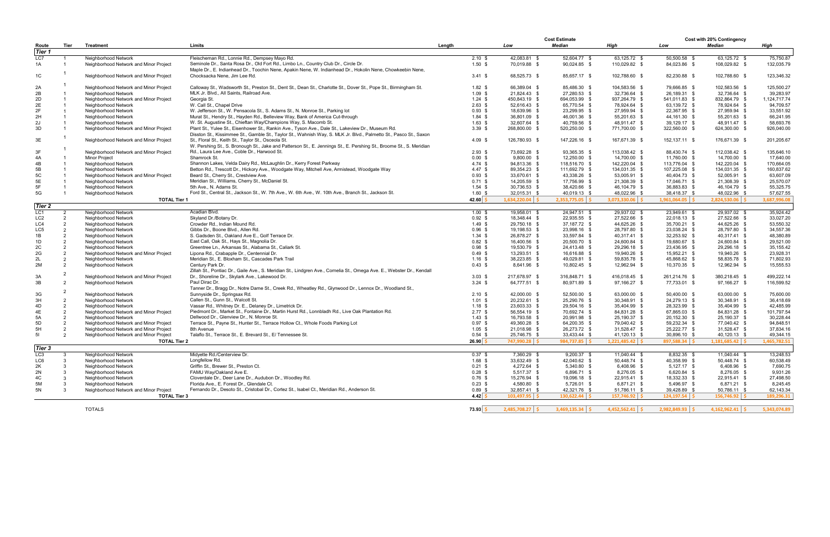|                 |      |                                        |                                                                                                                        |        |                          |                   | <b>Cost Estimate</b> |                     | <b>Cost with 20% Contingency</b> |                     |              |  |
|-----------------|------|----------------------------------------|------------------------------------------------------------------------------------------------------------------------|--------|--------------------------|-------------------|----------------------|---------------------|----------------------------------|---------------------|--------------|--|
| Route           | Tier | <b>Treatment</b>                       | <b>Limits</b>                                                                                                          | Length |                          | Low               | <b>Median</b>        | High                | Low                              | <b>Median</b>       | High         |  |
| Tier 1          |      |                                        |                                                                                                                        |        |                          |                   |                      |                     |                                  |                     |              |  |
|                 |      |                                        |                                                                                                                        |        |                          |                   |                      |                     |                                  |                     |              |  |
| LC7             |      | Neighborhood Network                   | Fleischeman Rd., Lonnie Rd., Dempsey Mayo Rd.                                                                          |        | $2.10 \text{ }$ \$       | 42,083.81 \$      | 52,604.77 \$         | 63,125.72 \$        | 50,500.58 \$                     | 63,125.72 \$        | 75,750.87    |  |
| 1A              |      | Neighborhood Network and Minor Project | Seminole Dr., Santa Rosa Dr., Old Fort Rd., Limbo Ln., Country Club Dr., Circle Dr.                                    |        | $1.50$ \$                | 70,019.88 \$      | 90,024.85 \$         | 110,029.82 \$       | 84,023.86 \$                     | 108,029.82 \$       | 132,035.79   |  |
|                 |      |                                        | Maple Dr., E. Indianhead Dr., Toochin Nene, Apakin Nene, W. Indianhead Dr., Hokolin Nene, Chowkeebin Nene,             |        |                          |                   |                      |                     |                                  |                     |              |  |
| 1C              |      | Neighborhood Network and Minor Project | Chocksacka Nene, Jim Lee Rd.                                                                                           |        | $3.41 \text{ } $$        | 68,525.73 \$      | 85,657.17 \$         | 102,788.60 \$       | 82,230.88 \$                     | 102,788.60 \$       | 123,346.32   |  |
|                 |      |                                        |                                                                                                                        |        |                          |                   |                      |                     |                                  |                     |              |  |
| 2A              |      | Neighborhood Network and Minor Project | Calloway St., Wadsworth St., Preston St., Dent St., Dean St., Charlotte St., Dover St., Pope St., Birmingham St.       |        | $1.82 \text{ } $$        | 66,389.04 \$      | 85,486.30 \$         | 104,583.56 \$       | 79,666.85 \$                     | 102,583.56 \$       | 125,500.27   |  |
| 2B              |      | Neighborhood Network                   | MLK Jr. Blvd., All Saints, Railroad Ave.                                                                               |        | $1.09$ \$                | 21,824.43 \$      | 27,280.53 \$         | 32,736.64 \$        | 26,189.31 \$                     | 32,736.64 \$        | 39,283.97    |  |
|                 |      |                                        |                                                                                                                        |        |                          |                   |                      |                     |                                  |                     |              |  |
| 2D              |      | Neighborhood Network and Minor Project | Georgia St.                                                                                                            |        | $1.24$ \$                | 450,843.19 \$     | 694,053.99 \$        | 937,264.79 \$       | 541,011.83 \$                    | 832,864.79 \$       | 1,124,717.74 |  |
| 2E              |      | Neighborhood Network                   | W. Call St., Chapel Drive                                                                                              |        | $2.63$ \$                | 52,616.43 \$      | 65,770.54 \$         | 78,924.64 \$        | 63,139.72 \$                     | 78,924.64 \$        | 94,709.57    |  |
| 2F              |      | Neighborhood Network                   | W. Jefferson St., W. Pensacola St., S. Adams St., N. Monroe St., Parking lot                                           |        | $0.93 \text{ } $$        | 18,639.96 \$      | 23,299.95 \$         | 27,959.94 \$        | 22,367.95 \$                     | 27,959.94 \$        | 33,551.92    |  |
| 2H              |      | Neighborhood Network                   | Murat St., Hendry St., Hayden Rd., Belleview Way, Bank of America Cut-through                                          |        | $1.84$ \$                | 36,801.09 \$      | 46,001.36 \$         | 55,201.63 \$        | 44,161.30 \$                     | 55,201.63 \$        | 66,241.95    |  |
| 2J              |      | Neighborhood Network                   | W. St. Augustine St., Chieftan Way/Champions Way, S. Macomb St.                                                        |        | $1.63$ \$                | 32,607.64 \$      | 40,759.56 \$         | 48,911.47 \$        | 39,129.17 \$                     | 48,911.47 \$        | 58,693.76    |  |
| 3D              |      | Neighborhood Network and Minor Project | Plant St., Yulee St., Eisenhower St., Rankin Ave., Tyson Ave., Dale St., Lakeview Dr., Museum Rd.                      |        | $3.39$ \$                | 268,800.00 \$     | 520,250.00 \$        | 771,700.00 \$       | 322,560.00 \$                    | 624,300.00 \$       | 926,040.00   |  |
|                 |      |                                        | Disston St., Kissimmee St., Gamble St., Taylor St., Wahnish Way, S. MLK Jr. Blvd., Palmetto St., Pasco St., Saxon      |        |                          |                   |                      |                     |                                  |                     |              |  |
|                 |      |                                        |                                                                                                                        |        |                          |                   |                      |                     |                                  |                     |              |  |
| 3E              |      | Neighborhood Network and Minor Project | St., Floral St., Keith St., Taylor St., Osceola St.                                                                    |        | $4.09$ \$                | 126,780.93 \$     | 147,226.16 \$        | 167,671.39 \$       | 152,137.11 \$                    | 176,671.39 \$       | 201,205.67   |  |
|                 |      |                                        | W. Pershing St., S. Bronough St., Jake and Patterson St., E. Jennings St., E. Pershing St., Broome St., S. Meridian    |        |                          |                   |                      |                     |                                  |                     |              |  |
| 3F              |      | Neighborhood Network and Minor Project | Rd., Laura Lee Ave., Coble Dr., Harwood St.                                                                            |        | $2.93$ \$                | 73,692.28 \$      | 93,365.35 \$         | 113,038.42 \$       | 88,430.74 \$                     | 112,038.42 \$       | 135,646.10   |  |
| 4A              |      | Minor Project                          | Shamrock St.                                                                                                           |        | $0.00 \text{ }$ \$       | $9,800.00$ \$     | 12,250.00 \$         | 14,700.00 \$        | 11,760.00 \$                     | 14,700.00 \$        | 17,640.00    |  |
| 4B              |      | Neighborhood Network                   | Shannon Lakes, Velda Dairy Rd., McLaughlin Dr., Kerry Forest Parkway                                                   |        | $4.74 \text{ } $$        | 94,813.36 \$      | 118,516.70 \$        | 142,220.04 \$       | 113,776.04 \$                    | 142,220.04 \$       | 170,664.05   |  |
| 5B              |      | Neighborhood Network                   | Betton Rd., Trescott Dr., Hickory Ave., Woodgate Way, Mitchell Ave, Armistead, Woodgate Way                            |        | $4.47$ \$                | 89,354.23 \$      | 111,692.79 \$        | 134,031.35 \$       | 107,225.08 \$                    | 134,031.35 \$       | 160,837.62   |  |
|                 |      |                                        |                                                                                                                        |        |                          |                   |                      |                     |                                  |                     |              |  |
| 5C              |      | Neighborhood Network and Minor Project | Beard St., Cherry St., Crestview Ave.                                                                                  |        | $0.93 \text{ } $$        | 33,670.61 \$      | 43,338.26 \$         | 53,005.91 \$        | 40,404.73 \$                     | 52,005.91 \$        | 63,607.09    |  |
| 5E              |      | Neighborhood Network                   | Meridian St., Williams, Cherry St., McDaniel St.                                                                       |        | $0.71$ \$                | 14,205.59 \$      | 17,756.99 \$         | 21,308.39 \$        | 17,046.71 \$                     | 21,308.39 \$        | 25,570.07    |  |
| 5F              |      | Neighborhood Network                   | 5th Ave., N. Adams St.                                                                                                 |        | $1.54$ \$                | 30,736.53 \$      | 38,420.66 \$         | 46,104.79 \$        | 36,883.83 \$                     | 46,104.79 \$        | 55,325.75    |  |
| 5G              |      | Neighborhood Network                   | Ford St., Central St., Jackson St., W. 7th Ave., W. 6th Ave., W. 10th Ave., Branch St., Jackson St.                    |        | $1.60~{\rm s}$           | 32,015.31 \$      | 40,019.13 \$         | 48,022.96 \$        | 38,418.37 \$                     | 48,022.96 \$        | 57,627.55    |  |
|                 |      | <b>TOTAL Tier 1</b>                    |                                                                                                                        |        | $42.60 \, \text{S}$      | $1,634,220.04$ \$ | $2,353,775.05$ \$    | $3,073,330.06$ \$   | $1,961,064.05$ \$                | $2,824,530.06$ \$   | 3,687,996.08 |  |
| <b>Tier 2</b>   |      |                                        |                                                                                                                        |        |                          |                   |                      |                     |                                  |                     |              |  |
|                 |      |                                        |                                                                                                                        |        |                          |                   |                      |                     |                                  |                     |              |  |
| LC1             |      | Neighborhood Network                   | Acadian Blvd.                                                                                                          |        | $1.00 \text{ }$ \$       | 19,958.01 \$      | 24,947.51 \$         | 29,937.02 \$        | 23,949.61 \$                     | 29,937.02 \$        | 35,924.42    |  |
| LC <sub>2</sub> |      | Neighborhood Network                   | Skyland Dr./Botany Dr.                                                                                                 |        | $0.92 \text{ } $$        | 18,348.44 \$      | 22,935.55 \$         | 27,522.66 \$        | 22,018.13 \$                     | 27,522.66 \$        | 33,027.20    |  |
| LC4             |      | Neighborhood Network                   | Crowder Rd., Indian Mound Rd.                                                                                          |        | $1.49$ \$                | 29,750.18 \$      | 37,187.72 \$         | 44,625.26 \$        | 35,700.21 \$                     | 44,625.26 \$        | 53,550.32    |  |
| LC5             |      | Neighborhood Network                   | Gibbs Dr., Boone Blvd., Allen Rd.                                                                                      |        | $0.96$ \$                | 19,198.53 \$      | 23,998.16 \$         | 28,797.80 \$        | 23,038.24 \$                     | 28,797.80 \$        | 34,557.36    |  |
| 1B              |      | Neighborhood Network                   | S. Gadsden St., Oakland Ave E., Golf Terrace Dr.                                                                       |        | $1.34 \text{ } $$        | 26,878.27 \$      | 33,597.84 \$         | 40,317.41 \$        | 32,253.92 \$                     | 40,317.41 \$        | 48,380.89    |  |
|                 |      |                                        |                                                                                                                        |        |                          | 16,400.56 \$      | 20,500.70 \$         | 24,600.84 \$        | 19,680.67 \$                     |                     |              |  |
| 1D              |      | Neighborhood Network                   | East Call, Oak St., Hays St., Magnolia Dr.                                                                             |        | $0.82$ \$                |                   |                      |                     |                                  | 24,600.84 \$        | 29,521.00    |  |
| 2C              |      | Neighborhood Network                   | Greentree Ln., Arkansas St., Alabama St., Caliark St.                                                                  |        | $0.98$ \$                | 19,530.79 \$      | 24,413.48 \$         | 29,296.18 \$        | 23,436.95 \$                     | 29,296.18 \$        | 35, 155.42   |  |
| 2G              |      | Neighborhood Network and Minor Project | Lipona Rd., Crabapple Dr., Centennial Dr.                                                                              |        | $0.49$ \$                | 13,293.51 \$      | 16,616.88 \$         | 19,940.26 \$        | 15,952.21 \$                     | 19,940.26 \$        | 23,928.31    |  |
| 2L              |      | Neighborhood Network                   | Meridian St., E. Bloxham St., Cascades Park Trail                                                                      |        | $1.16$ \$                | 38,223.85 \$      | 49,029.81 \$         | 59,835.78 \$        | 45,868.62 \$                     | 58,835.78 \$        | 71,802.93    |  |
| 2M              |      | Neighborhood Network                   | Century Park Dr.                                                                                                       |        | 0.43~\$                  | 8,641.96 \$       | 10,802.45 \$         | 12,962.94 \$        | 10,370.35 \$                     | 12,962.94 \$        | 15,555.53    |  |
|                 |      |                                        | Zillah St., Pontiac Dr., Gaile Ave., S. Meridian St., Lindgren Ave., Cornelia St., Omega Ave. E., Webster Dr., Kendall |        |                          |                   |                      |                     |                                  |                     |              |  |
| 3A              |      | Neighborhood Network and Minor Project | Dr., Shoreline Dr., Skylark Ave., Lakewood Dr.                                                                         |        | $3.03 \text{ } $$        | 217,678.97 \$     | 316,848.71 \$        | 416,018.45 \$       | 261,214.76 \$                    | 380,218.45 \$       | 499,222.14   |  |
|                 |      |                                        | Paul Dirac Dr.                                                                                                         |        |                          |                   |                      |                     |                                  |                     |              |  |
| 3B              |      | Neighborhood Network                   |                                                                                                                        |        | $3.24$ \$                | 64,777.51 \$      | 80,971.89 \$         | 97,166.27 \$        | 77,733.01 \$                     | 97,166.27 \$        | 116,599.52   |  |
|                 |      |                                        | Tanner Dr., Bragg Dr., Notre Dame St., Creek Rd., Wheatley Rd., Glynwood Dr., Lennox Dr., Woodland St.,                |        |                          |                   |                      |                     |                                  |                     |              |  |
| 3G              |      | Neighborhood Network                   | Sunnyside Dr., Springsax Rd.                                                                                           |        | $2.10$ \$                | 42,000.00 \$      | 52,500.00 \$         | 63,000.00 \$        | 50,400.00 \$                     | 63,000.00 \$        | 75,600.00    |  |
| 3H              |      | Neighborhood Network                   | Callen St., Gunn St., Walcott St.                                                                                      |        | $1.01$ \$                | 20,232.61 \$      | 25,290.76 \$         | 30,348.91 \$        | 24,279.13 \$                     | 30,348.91 \$        | 36,418.69    |  |
| 4D              |      | Neighborhood Network                   | Vassar Rd., Whitney Dr. E., Delaney Dr., Limetrick Dr.                                                                 |        | $1.18$ \$                | 23,603.33 \$      | 29,504.16 \$         | 35,404.99 \$        | 28,323.99 \$                     | 35,404.99 \$        | 42,485.99    |  |
| 4E              |      | Neighborhood Network and Minor Project | Piedmont Dr., Market St., Fontaine Dr., Martin Hurst Rd., Lonnbladh Rd., Live Oak Plantation Rd.                       |        | $2.77$ \$                | 56,554.19 \$      | 70,692.74 \$         | 84,831.28 \$        | 67,865.03 \$                     | 84,831.28 \$        | 101,797.54   |  |
| 5A              |      | Neighborhood Network                   | Dellwood Dr., Glenview Dr., N. Monroe St.                                                                              |        | $1.43 \text{ } $$        | 16,793.58 \$      | 20,991.98 \$         | 25,190.37 \$        | 20,152.30 \$                     | 25,190.37 \$        | 30,228.44    |  |
| 5D              |      |                                        | Terrace St., Payne St., Hunter St., Terrace Hollow Ct., Whole Foods Parking Lot                                        |        | $0.97$ \$                |                   |                      |                     | 59,232.34 \$                     |                     | 94,848.51    |  |
|                 |      | Neighborhood Network and Minor Project |                                                                                                                        |        |                          | 49,360.28 \$      | 64,200.35 \$         | 79,040.42 \$        |                                  | 77,040.42 \$        |              |  |
| 5H              | 2    | Neighborhood Network and Minor Project | 8th Avenue                                                                                                             |        | $1.05$ \$                | 21,018.98 \$      | 26,273.72 \$         | 31,528.47 \$        | 25,222.77 \$                     | 31,528.47 \$        | 37,834.16    |  |
| 51              |      | Neighborhood Network and Minor Project | Talaflo St., Terrace St., E. Brevard St., E/ Tennessee St.                                                             |        | $0.54$ \$                | 25.746.75 \$      | 33,433.44 \$         | 41,120.13 \$        | 30,896.10 \$                     | 40,120.13 \$        | 49,344.15    |  |
|                 |      | <b>TOTAL Tier 2</b>                    |                                                                                                                        |        | $26.90 \, \frac{\xi}{2}$ | 747,990.28 \$     | $984.737.85$ \$      | $1.221.485.42$ \ \$ | $897.588.34$ \ \$                | $1.181.685.42$ \ \$ | 1.465.782.51 |  |
| Tier 3          |      |                                        |                                                                                                                        |        |                          |                   |                      |                     |                                  |                     |              |  |
|                 |      |                                        |                                                                                                                        |        |                          |                   |                      |                     |                                  |                     |              |  |
| LC <sub>3</sub> |      | Neighborhood Network                   | Midyette Rd./Centerview Dr.                                                                                            |        | $0.37$ \$                | 7,360.29 \$       | 9,200.37 \$          | 11,040.44 \$        | 8,832.35 \$                      | 11,040.44 \$        | 13,248.53    |  |
| LC6             |      | Neighborhood Network                   | Longfellow Rd.                                                                                                         |        | $1.68$ \$                | 33,632.49 \$      | 42,040.62 \$         | 50,448.74 \$        | 40,358.99 \$                     | 50,448.74 \$        | 60,538.49    |  |
| 2K              |      | Neighborhood Network                   | Griffin St., Brewer St., Preston Ct.                                                                                   |        | $0.21$ \$                | 4,272.64 \$       | 5,340.80 \$          | 6,408.96 \$         | $5,127.17$ \$                    | 6,408.96 \$         | 7,690.75     |  |
| 2N              |      | Neighborhood Network                   | FAMU Way/Oakland Ave E.                                                                                                |        | $0.28$ \$                | 5,517.37 \$       | 6,896.71 \$          | 8,276.05 \$         | 6,620.84 \$                      | 8,276.05 \$         | 9,931.26     |  |
| 4C              |      | Neighborhood Network                   | Cloverdale Dr., Deer Lane Dr., Audubon Dr., Woodley Rd.                                                                |        | 0.76~\$                  | 15,276.94 \$      | 19,096.18 \$         | 22,915.41 \$        | 18,332.33 \$                     | 22,915.41 \$        | 27,498.50    |  |
| 5M              |      | Neighborhood Network                   | Florida Ave., E. Forest Dr., Glendale Ct.                                                                              |        | $0.23$ \$                | 4,580.80 \$       | 5,726.01 \$          | 6,871.21 \$         | 5,496.97 \$                      | 6,871.21 \$         | 8,245.45     |  |
|                 |      |                                        | Fernando Dr., Desoto St., Cristobal Dr., Cortez St., Isabel Ct., Meridian Rd., Anderson St.                            |        |                          |                   |                      |                     |                                  |                     |              |  |
| 5N              |      | Neighborhood Network and Minor Project |                                                                                                                        |        | $0.89$ \$                | 32,857.41 \$      | 42,321.76 \$         | 51,786.11 \$        | 39,428.89 \$                     | 50,786.11 \$        | 62,143.34    |  |
|                 |      | <b>TOTAL Tier 3</b>                    |                                                                                                                        |        | $4.42 \mid \zeta$        | $103,497.95$ \$   | $130.622.44$   \$    | $157,746.92$ \$     | $124, 197.54$ \$                 | $156,746.92$ \$     | 189,296.31   |  |
|                 |      |                                        |                                                                                                                        |        |                          |                   |                      |                     |                                  |                     |              |  |
|                 |      | <b>TOTALS</b>                          |                                                                                                                        |        | $73.93 \mid 5$           | $2,485,708.27$ \$ | $3,469,135.34$ \$    | $4,452,562.41$ \$   | $2,982,849.93$ \$                | $4,162,962.41$ \$   | 5,343,074.89 |  |
|                 |      |                                        |                                                                                                                        |        |                          |                   |                      |                     |                                  |                     |              |  |